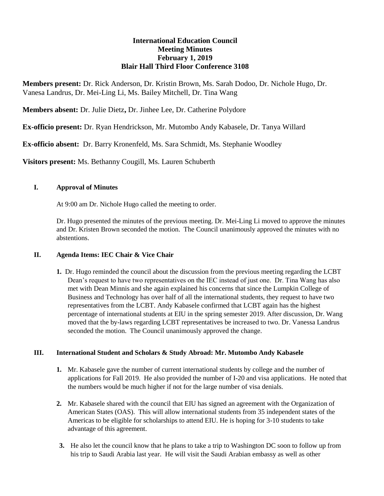# **International Education Council Meeting Minutes February 1, 2019 Blair Hall Third Floor Conference 3108**

**Members present:** Dr. Rick Anderson, Dr. Kristin Brown, Ms. Sarah Dodoo, Dr. Nichole Hugo, Dr. Vanesa Landrus, Dr. Mei-Ling Li, Ms. Bailey Mitchell, Dr. Tina Wang

**Members absent:** Dr. Julie Dietz**,** Dr. Jinhee Lee, Dr. Catherine Polydore

**Ex-officio present:** Dr. Ryan Hendrickson, Mr. Mutombo Andy Kabasele, Dr. Tanya Willard

**Ex-officio absent:** Dr. Barry Kronenfeld, Ms. Sara Schmidt, Ms. Stephanie Woodley

**Visitors present:** Ms. Bethanny Cougill, Ms. Lauren Schuberth

#### **I. Approval of Minutes**

At 9:00 am Dr. Nichole Hugo called the meeting to order.

Dr. Hugo presented the minutes of the previous meeting. Dr. Mei-Ling Li moved to approve the minutes and Dr. Kristen Brown seconded the motion. The Council unanimously approved the minutes with no abstentions.

## **II. Agenda Items: IEC Chair & Vice Chair**

**1.** Dr. Hugo reminded the council about the discussion from the previous meeting regarding the LCBT Dean's request to have two representatives on the IEC instead of just one. Dr. Tina Wang has also met with Dean Minnis and she again explained his concerns that since the Lumpkin College of Business and Technology has over half of all the international students, they request to have two representatives from the LCBT. Andy Kabasele confirmed that LCBT again has the highest percentage of international students at EIU in the spring semester 2019. After discussion, Dr. Wang moved that the by-laws regarding LCBT representatives be increased to two. Dr. Vanessa Landrus seconded the motion. The Council unanimously approved the change.

## **III. International Student and Scholars & Study Abroad: Mr. Mutombo Andy Kabasele**

- **1.** Mr. Kabasele gave the number of current international students by college and the number of applications for Fall 2019. He also provided the number of I-20 and visa applications. He noted that the numbers would be much higher if not for the large number of visa denials.
- **2.** Mr. Kabasele shared with the council that EIU has signed an agreement with the Organization of American States (OAS). This will allow international students from 35 independent states of the Americas to be eligible for scholarships to attend EIU. He is hoping for 3-10 students to take advantage of this agreement.
- **3.** He also let the council know that he plans to take a trip to Washington DC soon to follow up from his trip to Saudi Arabia last year. He will visit the Saudi Arabian embassy as well as other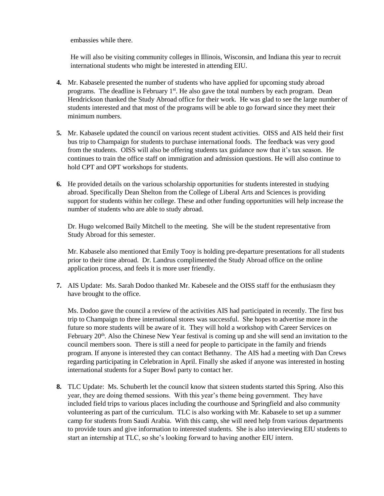embassies while there.

He will also be visiting community colleges in Illinois, Wisconsin, and Indiana this year to recruit international students who might be interested in attending EIU.

- **4.** Mr. Kabasele presented the number of students who have applied for upcoming study abroad programs. The deadline is February 1<sup>st</sup>. He also gave the total numbers by each program. Dean Hendrickson thanked the Study Abroad office for their work. He was glad to see the large number of students interested and that most of the programs will be able to go forward since they meet their minimum numbers.
- **5.** Mr. Kabasele updated the council on various recent student activities. OISS and AIS held their first bus trip to Champaign for students to purchase international foods. The feedback was very good from the students. OISS will also be offering students tax guidance now that it's tax season. He continues to train the office staff on immigration and admission questions. He will also continue to hold CPT and OPT workshops for students.
- **6.** He provided details on the various scholarship opportunities for students interested in studying abroad. Specifically Dean Shelton from the College of Liberal Arts and Sciences is providing support for students within her college. These and other funding opportunities will help increase the number of students who are able to study abroad.

Dr. Hugo welcomed Baily Mitchell to the meeting. She will be the student representative from Study Abroad for this semester.

Mr. Kabasele also mentioned that Emily Tooy is holding pre-departure presentations for all students prior to their time abroad. Dr. Landrus complimented the Study Abroad office on the online application process, and feels it is more user friendly.

**7.** AIS Update: Ms. Sarah Dodoo thanked Mr. Kabesele and the OISS staff for the enthusiasm they have brought to the office.

Ms. Dodoo gave the council a review of the activities AIS had participated in recently. The first bus trip to Champaign to three international stores was successful. She hopes to advertise more in the future so more students will be aware of it. They will hold a workshop with Career Services on February 20<sup>th</sup>. Also the Chinese New Year festival is coming up and she will send an invitation to the council members soon. There is still a need for people to participate in the family and friends program. If anyone is interested they can contact Bethanny. The AIS had a meeting with Dan Crews regarding participating in Celebration in April. Finally she asked if anyone was interested in hosting international students for a Super Bowl party to contact her.

**8.** TLC Update: Ms. Schuberth let the council know that sixteen students started this Spring. Also this year, they are doing themed sessions. With this year's theme being government. They have included field trips to various places including the courthouse and Springfield and also community volunteering as part of the curriculum. TLC is also working with Mr. Kabasele to set up a summer camp for students from Saudi Arabia. With this camp, she will need help from various departments to provide tours and give information to interested students. She is also interviewing EIU students to start an internship at TLC, so she's looking forward to having another EIU intern.